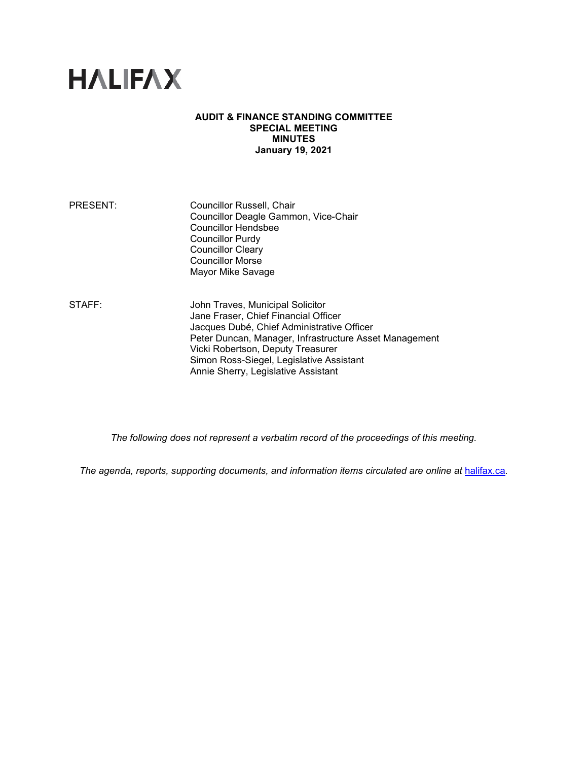# **HALIFAX**

#### **AUDIT & FINANCE STANDING COMMITTEE SPECIAL MEETING MINUTES January 19, 2021**

PRESENT: Councillor Russell, Chair Councillor Deagle Gammon, Vice-Chair Councillor Hendsbee Councillor Purdy Councillor Cleary Councillor Morse Mayor Mike Savage

STAFF: **John Traves, Municipal Solicitor** Jane Fraser, Chief Financial Officer Jacques Dubé, Chief Administrative Officer Peter Duncan, Manager, Infrastructure Asset Management Vicki Robertson, Deputy Treasurer Simon Ross-Siegel, Legislative Assistant Annie Sherry, Legislative Assistant

*The following does not represent a verbatim record of the proceedings of this meeting.*

*The agenda, reports, supporting documents, and information items circulated are online at [halifax.ca](http://www.halifax.ca/).*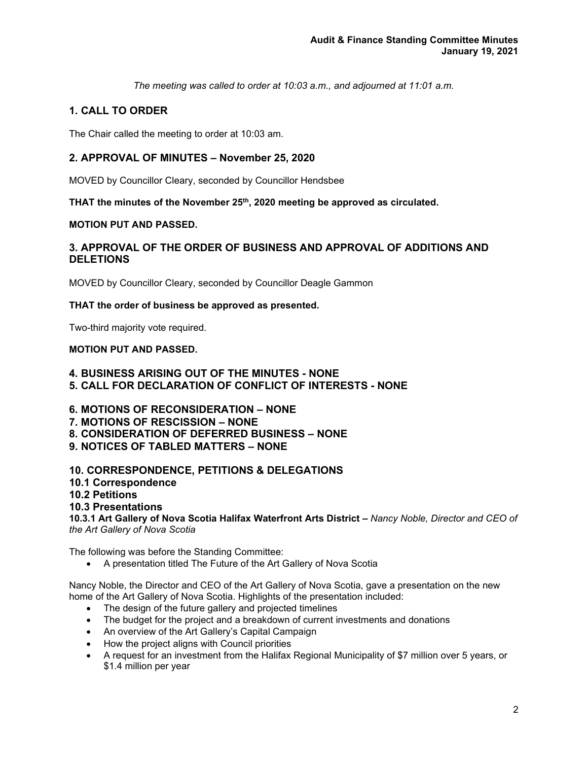*The meeting was called to order at 10:03 a.m., and adjourned at 11:01 a.m.*

# **1. CALL TO ORDER**

The Chair called the meeting to order at 10:03 am.

# **2. APPROVAL OF MINUTES – November 25, 2020**

MOVED by Councillor Cleary, seconded by Councillor Hendsbee

THAT the minutes of the November 25<sup>th</sup>, 2020 meeting be approved as circulated.

# **MOTION PUT AND PASSED.**

# **3. APPROVAL OF THE ORDER OF BUSINESS AND APPROVAL OF ADDITIONS AND DELETIONS**

MOVED by Councillor Cleary, seconded by Councillor Deagle Gammon

## **THAT the order of business be approved as presented.**

Two-third majority vote required.

## **MOTION PUT AND PASSED.**

# **4. BUSINESS ARISING OUT OF THE MINUTES - NONE 5. CALL FOR DECLARATION OF CONFLICT OF INTERESTS - NONE**

- **6. MOTIONS OF RECONSIDERATION – NONE**
- **7. MOTIONS OF RESCISSION – NONE**
- **8. CONSIDERATION OF DEFERRED BUSINESS – NONE**
- **9. NOTICES OF TABLED MATTERS – NONE**

# **10. CORRESPONDENCE, PETITIONS & DELEGATIONS**

**10.1 Correspondence**

## **10.2 Petitions**

# **10.3 Presentations**

**10.3.1 Art Gallery of Nova Scotia Halifax Waterfront Arts District –** *Nancy Noble, Director and CEO of the Art Gallery of Nova Scotia* 

The following was before the Standing Committee:

• A presentation titled The Future of the Art Gallery of Nova Scotia

Nancy Noble, the Director and CEO of the Art Gallery of Nova Scotia, gave a presentation on the new home of the Art Gallery of Nova Scotia. Highlights of the presentation included:

- The design of the future gallery and projected timelines
- The budget for the project and a breakdown of current investments and donations
- An overview of the Art Gallery's Capital Campaign
- How the project aligns with Council priorities
- A request for an investment from the Halifax Regional Municipality of \$7 million over 5 years, or \$1.4 million per year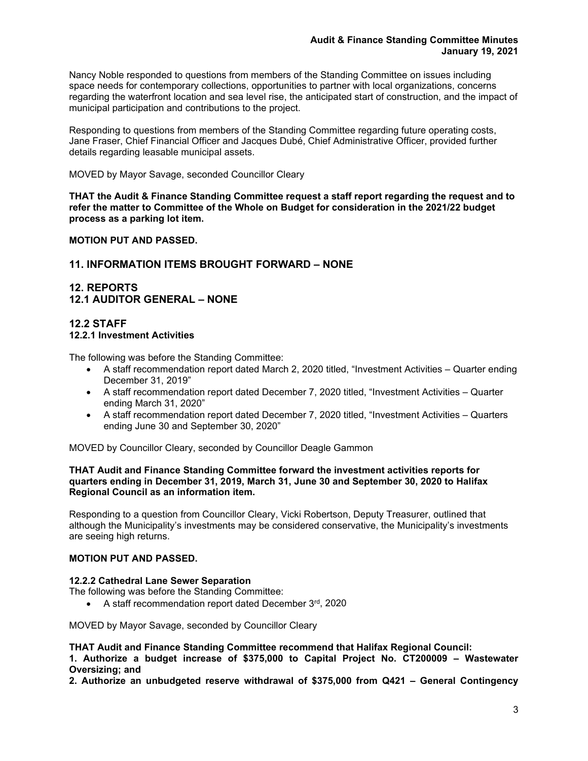Nancy Noble responded to questions from members of the Standing Committee on issues including space needs for contemporary collections, opportunities to partner with local organizations, concerns regarding the waterfront location and sea level rise, the anticipated start of construction, and the impact of municipal participation and contributions to the project.

Responding to questions from members of the Standing Committee regarding future operating costs, Jane Fraser, Chief Financial Officer and Jacques Dubé, Chief Administrative Officer, provided further details regarding leasable municipal assets.

MOVED by Mayor Savage, seconded Councillor Cleary

**THAT the Audit & Finance Standing Committee request a staff report regarding the request and to refer the matter to Committee of the Whole on Budget for consideration in the 2021/22 budget process as a parking lot item.**

**MOTION PUT AND PASSED.**

# **11. INFORMATION ITEMS BROUGHT FORWARD – NONE**

# **12. REPORTS 12.1 AUDITOR GENERAL – NONE**

#### **12.2 STAFF 12.2.1 Investment Activities**

The following was before the Standing Committee:

- A staff recommendation report dated March 2, 2020 titled, "Investment Activities Quarter ending December 31, 2019"
- A staff recommendation report dated December 7, 2020 titled, "Investment Activities Quarter ending March 31, 2020"
- A staff recommendation report dated December 7, 2020 titled, "Investment Activities Quarters ending June 30 and September 30, 2020"

MOVED by Councillor Cleary, seconded by Councillor Deagle Gammon

#### **THAT Audit and Finance Standing Committee forward the investment activities reports for quarters ending in December 31, 2019, March 31, June 30 and September 30, 2020 to Halifax Regional Council as an information item.**

Responding to a question from Councillor Cleary, Vicki Robertson, Deputy Treasurer, outlined that although the Municipality's investments may be considered conservative, the Municipality's investments are seeing high returns.

#### **MOTION PUT AND PASSED.**

#### **12.2.2 Cathedral Lane Sewer Separation**

The following was before the Standing Committee:

• A staff recommendation report dated December 3rd, 2020

MOVED by Mayor Savage, seconded by Councillor Cleary

**THAT Audit and Finance Standing Committee recommend that Halifax Regional Council:**

**1. Authorize a budget increase of \$375,000 to Capital Project No. CT200009 – Wastewater Oversizing; and**

**2. Authorize an unbudgeted reserve withdrawal of \$375,000 from Q421 – General Contingency**